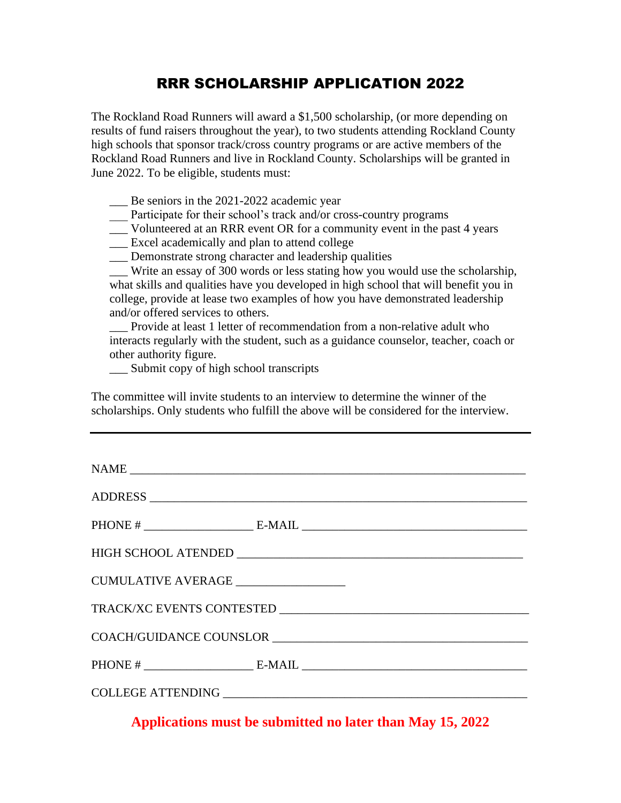## RRR SCHOLARSHIP APPLICATION 2022

The Rockland Road Runners will award a \$1,500 scholarship, (or more depending on results of fund raisers throughout the year), to two students attending Rockland County high schools that sponsor track/cross country programs or are active members of the Rockland Road Runners and live in Rockland County. Scholarships will be granted in June 2022. To be eligible, students must:

\_\_\_ Be seniors in the 2021-2022 academic year

Participate for their school's track and/or cross-country programs

\_\_\_ Volunteered at an RRR event OR for a community event in the past 4 years

\_\_\_ Excel academically and plan to attend college

\_\_\_ Demonstrate strong character and leadership qualities

\_\_\_ Write an essay of 300 words or less stating how you would use the scholarship, what skills and qualities have you developed in high school that will benefit you in college, provide at lease two examples of how you have demonstrated leadership and/or offered services to others.

\_\_\_ Provide at least 1 letter of recommendation from a non-relative adult who interacts regularly with the student, such as a guidance counselor, teacher, coach or other authority figure.

\_\_\_ Submit copy of high school transcripts

The committee will invite students to an interview to determine the winner of the scholarships. Only students who fulfill the above will be considered for the interview.

| CUMULATIVE AVERAGE _________________ |  |
|--------------------------------------|--|
|                                      |  |
| COACH/GUIDANCE COUNSLOR              |  |
|                                      |  |
|                                      |  |

**Applications must be submitted no later than May 15, 2022**